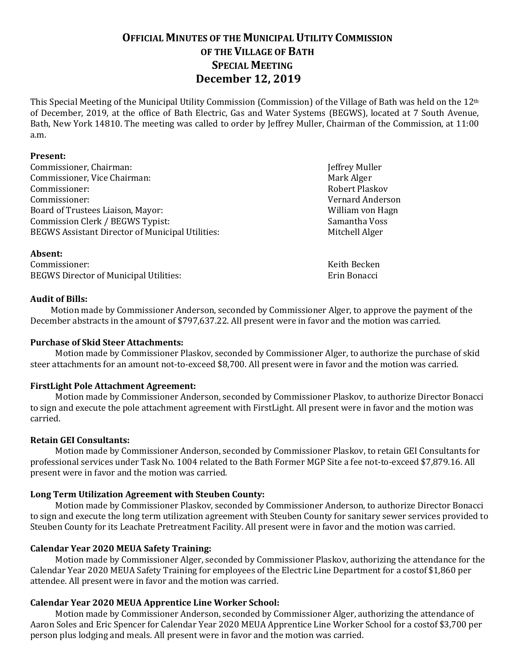# **OFFICIAL MINUTES OF THE MUNICIPAL UTILITY COMMISSION OF THE VILLAGE OF BATH SPECIAL MEETING December 12, 2019**

This Special Meeting of the Municipal Utility Commission (Commission) of the Village of Bath was held on the 12th of December, 2019, at the office of Bath Electric, Gas and Water Systems (BEGWS), located at 7 South Avenue, Bath, New York 14810. The meeting was called to order by Jeffrey Muller, Chairman of the Commission, at 11:00 a.m.

#### **Present:**

Commissioner, Chairman: Jeffrey Muller<br>
Commissioner. Vice Chairman: Jeffrey Muller<br>
Mark Alger Commissioner, Vice Chairman: Mark Alger (Mark Alger 2001) Mark Alger (Mark Alger 2001) Mark Alger 2012 (Mark Alger 2013) Mark Alger 2013 (Mark Alger 2013) Mark Alger 2013 (Mark Alger 2013) Mark Alger 2013 (Mark Alger 2013) Commissioner: Robert Plaskov Commissioner: Vernard Anderson Board of Trustees Liaison, Mayor: William von Hagnomission Clerk / BEGWS Typist: William von Hagnomission Clerk / BEGWS Typist: Commission Clerk / BEGWS Typist:<br>BEGWS Assistant Director of Municipal Utilities: Mitchell Alger BEGWS Assistant Director of Municipal Utilities:

# **Absent:**

Commissioner: Keith Becken BEGWS Director of Municipal Utilities: Erin Bonacci

## **Audit of Bills:**

Motion made by Commissioner Anderson, seconded by Commissioner Alger, to approve the payment of the December abstracts in the amount of \$797,637.22. All present were in favor and the motion was carried.

# **Purchase of Skid Steer Attachments:**

Motion made by Commissioner Plaskov, seconded by Commissioner Alger, to authorize the purchase of skid steer attachments for an amount not-to-exceed \$8,700. All present were in favor and the motion was carried.

#### **FirstLight Pole Attachment Agreement:**

Motion made by Commissioner Anderson, seconded by Commissioner Plaskov, to authorize Director Bonacci to sign and execute the pole attachment agreement with FirstLight. All present were in favor and the motion was carried.

## **Retain GEI Consultants:**

Motion made by Commissioner Anderson, seconded by Commissioner Plaskov, to retain GEI Consultants for professional services under Task No. 1004 related to the Bath Former MGP Site a fee not-to-exceed \$7,879.16. All present were in favor and the motion was carried.

# **Long Term Utilization Agreement with Steuben County:**

Motion made by Commissioner Plaskov, seconded by Commissioner Anderson, to authorize Director Bonacci to sign and execute the long term utilization agreement with Steuben County for sanitary sewer services provided to Steuben County for its Leachate Pretreatment Facility. All present were in favor and the motion was carried.

#### **Calendar Year 2020 MEUA Safety Training:**

Motion made by Commissioner Alger, seconded by Commissioner Plaskov, authorizing the attendance for the Calendar Year 2020 MEUA Safety Training for employees of the Electric Line Department for a costof \$1,860 per attendee. All present were in favor and the motion was carried.

#### **Calendar Year 2020 MEUA Apprentice Line Worker School:**

Motion made by Commissioner Anderson, seconded by Commissioner Alger, authorizing the attendance of Aaron Soles and Eric Spencer for Calendar Year 2020 MEUA Apprentice Line Worker School for a costof \$3,700 per person plus lodging and meals. All present were in favor and the motion was carried.